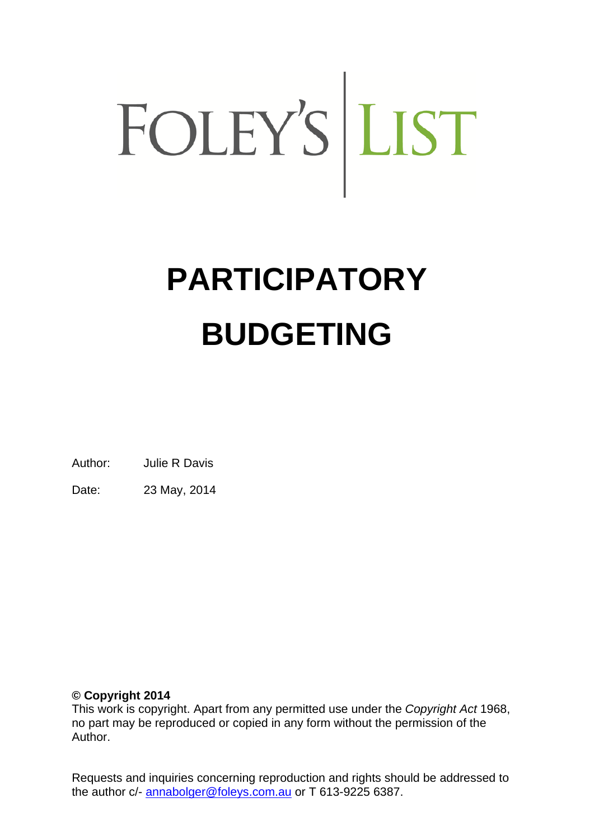# FOLEY'S LIST

# **PARTICIPATORY BUDGETING**

Author: Julie R Davis

Date: 23 May, 2014

# **© Copyright 2014**

This work is copyright. Apart from any permitted use under the *Copyright Act* 1968, no part may be reproduced or copied in any form without the permission of the Author.

Requests and inquiries concerning reproduction and rights should be addressed to the author c/- annabolger@foleys.com.au or T 613-9225 6387.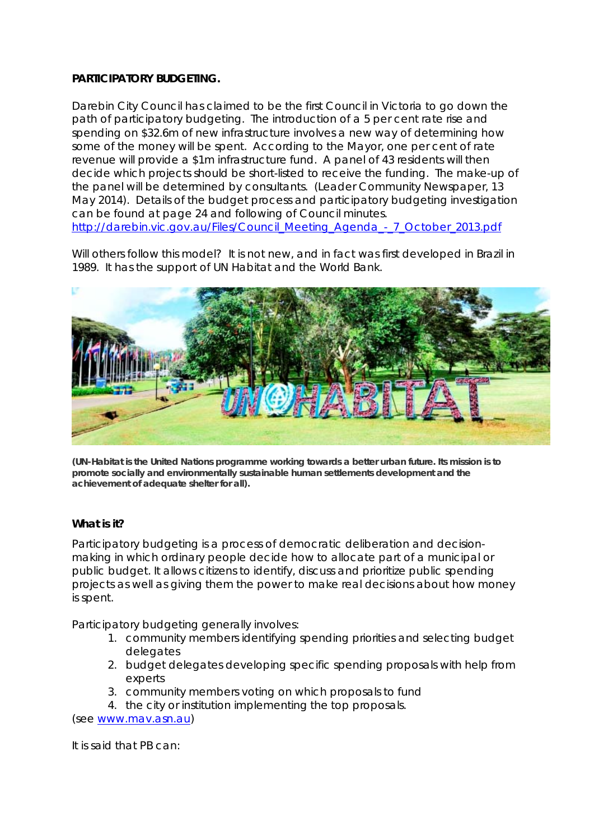### **PARTICIPATORY BUDGETING.**

Darebin City Council has claimed to be the first Council in Victoria to go down the path of participatory budgeting. The introduction of a 5 per cent rate rise and spending on \$32.6m of new infrastructure involves a new way of determining how some of the money will be spent. According to the Mayor, one per cent of rate revenue will provide a \$1m infrastructure fund. A panel of 43 residents will then decide which projects should be short-listed to receive the funding. The make-up of the panel will be determined by consultants. (Leader Community Newspaper, 13 May 2014). Details of the budget process and participatory budgeting investigation can be found at page 24 and following of Council minutes. http://darebin.vic.gov.au/Files/Council\_Meeting\_Agenda\_-\_7\_October\_2013.pdf

Will others follow this model? It is not new, and in fact was first developed in Brazil in 1989. It has the support of UN Habitat and the World Bank.



**(UN-Habitat is the United Nations programme working towards a better urban future. Its mission is to promote socially and environmentally sustainable human settlements development and the achievement of adequate shelter for all).**

### **What is it?**

Participatory budgeting is a process of democratic deliberation and decisionmaking in which ordinary people decide how to allocate part of a municipal or public budget. It allows citizens to identify, discuss and prioritize public spending projects as well as giving them the power to make real decisions about how money is spent.

Participatory budgeting generally involves:

- 1. community members identifying spending priorities and selecting budget delegates
- 2. budget delegates developing specific spending proposals with help from experts
- 3. community members voting on which proposals to fund
- 4. the city or institution implementing the top proposals.

(see www.mav.asn.au)

It is said that PB can: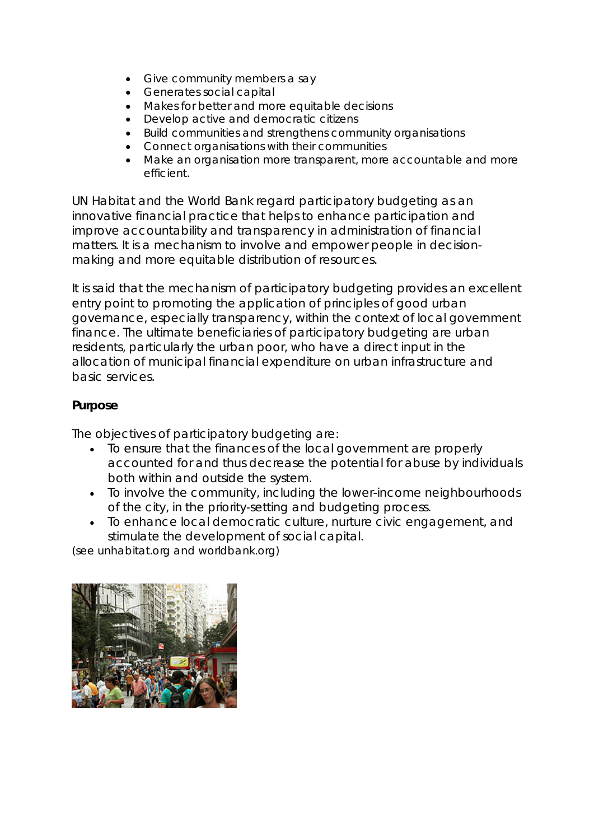- Give community members a say
- Generates social capital
- Makes for better and more equitable decisions
- Develop active and democratic citizens
- Build communities and strengthens community organisations
- Connect organisations with their communities
- Make an organisation more transparent, more accountable and more efficient.

UN Habitat and the World Bank regard participatory budgeting as an innovative financial practice that helps to enhance participation and improve accountability and transparency in administration of financial matters. It is a mechanism to involve and empower people in decisionmaking and more equitable distribution of resources.

It is said that the mechanism of participatory budgeting provides an excellent entry point to promoting the application of principles of good urban governance, especially transparency, within the context of local government finance. The ultimate beneficiaries of participatory budgeting are urban residents, particularly the urban poor, who have a direct input in the allocation of municipal financial expenditure on urban infrastructure and basic services.

## **Purpose**

The objectives of participatory budgeting are:

- To ensure that the finances of the local government are properly accounted for and thus decrease the potential for abuse by individuals both within and outside the system.
- To involve the community, including the lower-income neighbourhoods of the city, in the priority-setting and budgeting process.
- To enhance local democratic culture, nurture civic engagement, and stimulate the development of social capital.

(see unhabitat.org and worldbank.org)